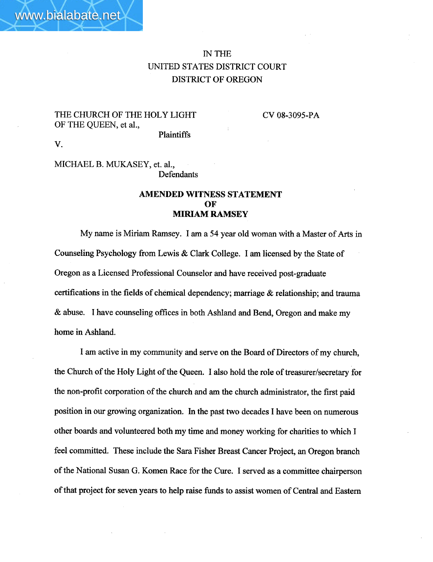## IN THE UNITED STATES DISTRICT COURT DISTRICT OF OREGON

THE CHURCH OF THE HOLY LIGHT OF THE QUEEN, et aI.,

CV 08-3095-PA

Plaintiffs

V.

MICHAEL B. MUKASEY, et. aI., **Defendants** 

## AMENDED WITNESS STATEMENT OF **MIRIAM RAMSEY**

My name is Miriam Ramsey. I am a 54 year old woman with a Master of Ars in Counseling Psychology from Lewis & Clark College. I am licensed by the State of Oregon as a Licensed Professional Counselor and have received post-graduate certifications in the fields of chemical dependency; marriage  $\&$  relationship; and trauma & abuse. I have counseling offices in both Ashland and Bend, Oregon and make my home in Ashland.

I am active in my community and serve on the Board of Directors of my church, the Church of the Holy Light of the Queen. I also hold the role of treasurer/secretary for the non-profit corporation of the church and am the church administrator, the first paid position in our growing organization. In the past two decades I have been on numerous other boards and volunteered both my time and money working for charties to which I feel committed. These include the Sara Fisher Breast Cancer Project, an Oregon branch of the National Susan G. Komen Race for the Cure. I served as a committee chairperson of that project for seven years to help raise fuds to assist women of Central and Eastern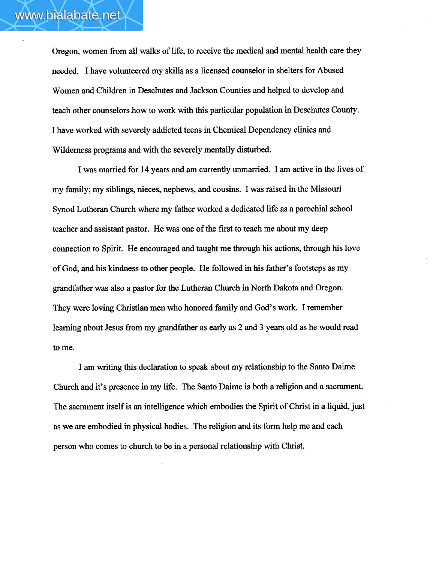Oregon, women from all walks of life, to receive the medical and mental health care they needed. I have volunteered my skills as a licensed counselor in shelters for Abused Women and Children in Deschutes and Jackson Counties and helped to develop and teach other counselors how to work with this paricular population in Deschutes County. I have worked with severely addicted teens in Chemical Dependency clinics and Wilderness programs and with the severely mentally disturbed.

I was married for 14 years and am currently unmarried. I am active in the lives of my famly; my siblings, nieces, nephews, and cousins. I was raised in the Missour Synod Lutheran Church where my father worked a dedicated life as a parochial school teacher and assistant pastor. He was one of the first to teach me about my deep connection to Spirit. He encouraged and taught me through his actions, though his love of God, and his kidness to other people. He followed in his father's footsteps as my grandfather was also a pastor for the Lutheran Church in North Dakota and Oregon. They were loving Christian men who honored family and God's work. I remember learning about Jesus from my grandfather as early as 2 and 3 years old as he would read to me.

I am wrting this declaration to speak about my relationship to the Santo Daime Church and it's presence in my life. The Santo Daime is both a religion and a sacrament. The sacrament itself is an intelligence which embodies the Spirit of Christ in a liquid, just as we are embodied in physical bodies. The religion and its form help me and each person who comes to church to be in a personal relationship with Christ.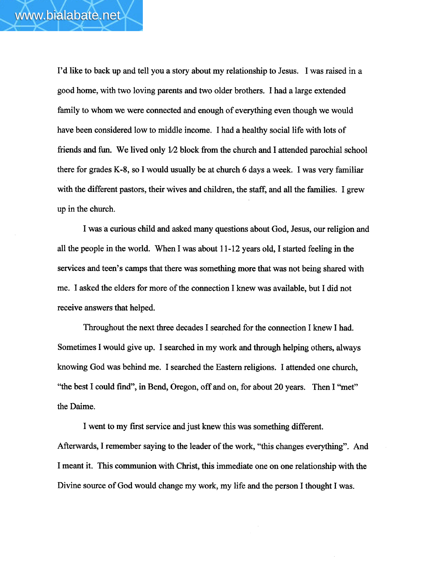I'd like to back up and tell you a story about my relationship to Jesus. I was raised in a good home, with two loving parents and two older brothers. I had a large extended family to whom we were connected and enough of everything even though we would have been considered low to middle income. I had a healthy social life with lots of friends and fun. We lived only  $1/2$  block from the church and I attended parochial school there for grades K-8, so I would usually be at church 6 days a week. I was very familar with the different pastors, their wives and children, the staff, and all the families. I grew up in the church.

I was a curous child and asked many questions about God, Jesus, our religion and all the people in the world. When I was about  $11-12$  years old, I started feeling in the services and teen's camps that there was something more that was not being shared with me. I asked the elders for more of the connection I knew was available, but I did not receive answers that helped.

Throughout the next three decades I searched for the connection I knew I had. Sometimes I would give up. I searched in my work and through helping others, always knowing God was behind me. I searched the Eastern religions. I attended one church, "the best I could find", in Bend, Oregon, off and on, for about 20 years. Then I "met" the Daime.

I went to my first service and just knew this was something different. Aferwards, I remember saying to the leader of the work, ''this changes everyhing". And I meant it. This communion with Christ, this immediate one on one relationship with the Divine source of God would change my work, my life and the person I thought I was.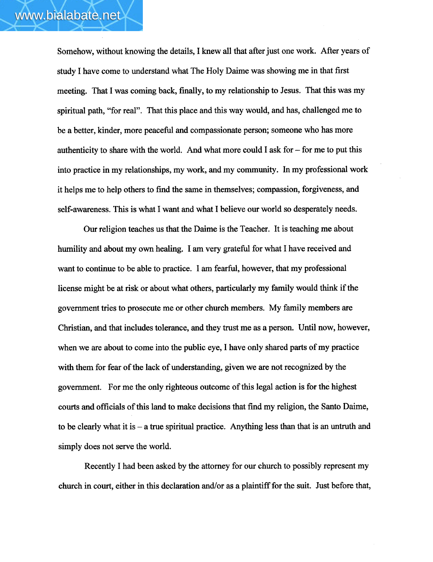Somehow, without knowing the details, I knew all that after just one work. After years of study I have come to understad what The Holy Daime was showing me in that first meeting. That I was coming back, finally, to my relationship to Jesus. That this was my spiritual path, "for real". That this place and this way would, and has, challenged me to be a better, kinder, more peaceful and compassionate person; someone who has more authenticity to share with the world. And what more could I ask for - for me to put this into practice in my relationships, my work, and my communty. In my professional work it helps me to help others to find the same in themselves; compassion, forgiveness, and self-awareness. This is what I want and what I believe our world so desperately needs.

Our religion teaches us that the Daime is the Teacher. It is teaching me about humility and about my own healing. I am very grateful for what I have received and want to continue to be able to practice. I am fearfu, however, that my professional license might be at risk or about what others, particularly my family would think if the governent tries to prosecute me or other church members. My family members are Christian, and that includes tolerance, and they trust me as a person. Until now, however, when we are about to come into the public eye, I have only shared pars of my practice with them for fear of the lack of understanding, given we are not recognized by the governent. For me the only righteous outcome of this legal action is for the highest courts and officials of this land to make decisions that find my religion, the Santo Daime, to be clearly what it is  $-$  a true spiritual practice. Anything less than that is an untruth and simply does not serve the world.

Recently I had been asked by the attorney for our church to possibly represent my church in court, either in this declaration and/or as a plaintiff for the suit. Just before that,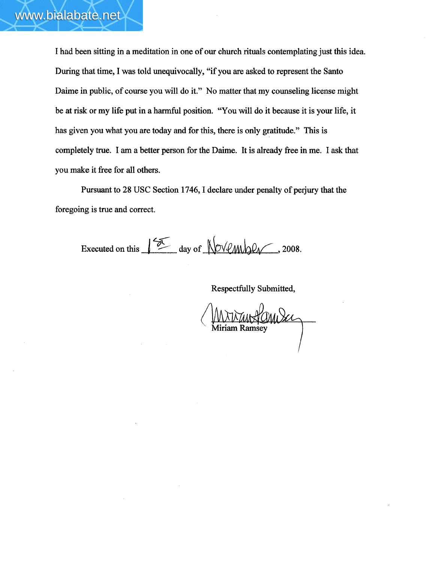I had been sitting in a meditation in one of our church rituals contemplating just this idea. During that time, I was told unequivocally, "if you are asked to represent the Santo Daime in public, of course you will do it." No matter that my counseling license might be at risk or my life put in a harmful position. "You will do it because it is your life, it has given you what you are today and for this, there is only gratitude." This is completely true. I am a better person for the Daime. It is already free in me. I ask that you make it free for all others.

Pursuant to 28 USC Section 1746, I declare under penalty of perjury that the foregoing is true and correct.

Executed on this  $\sqrt{\frac{2\pi}{n}}$  day of  $\sqrt{\frac{2008}{n}}$ , 2008.

Respectfuly Submitted,

Miriam Ramsey